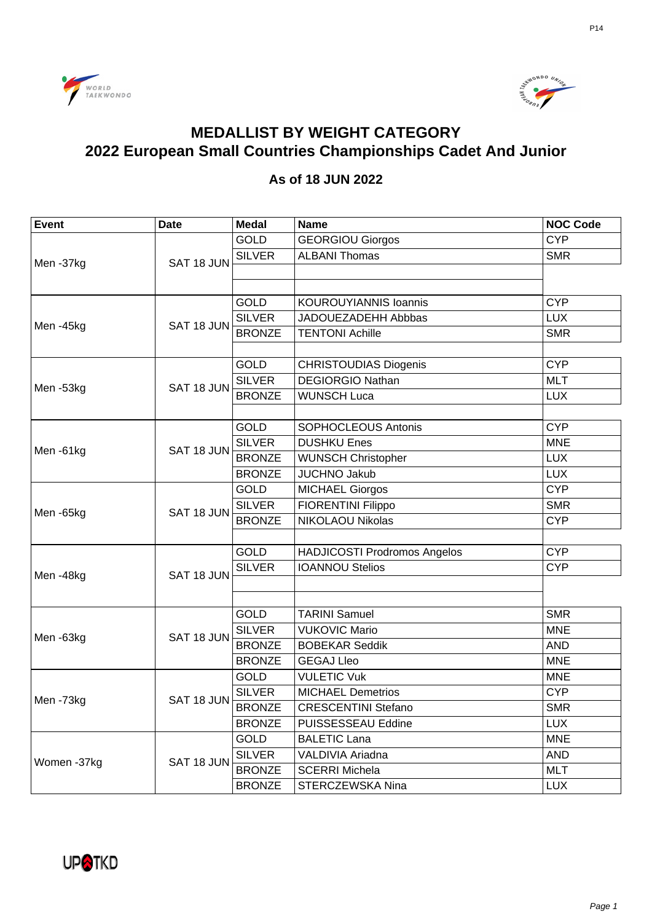



## **MEDALLIST BY WEIGHT CATEGORY** 2022 European Small Countries Championships Cadet And Junior

## As of 18 JUN 2022

| <b>Event</b> | <b>Date</b> | <b>Medal</b>  | <b>Name</b>                         | <b>NOC Code</b> |
|--------------|-------------|---------------|-------------------------------------|-----------------|
| Men-37kg     | SAT 18 JUN  | <b>GOLD</b>   | <b>GEORGIOU Giorgos</b>             | <b>CYP</b>      |
|              |             | <b>SILVER</b> | <b>ALBANI Thomas</b>                | <b>SMR</b>      |
|              |             |               |                                     |                 |
|              |             |               |                                     |                 |
| Men-45kg     | SAT 18 JUN  | <b>GOLD</b>   | <b>KOUROUYIANNIS Ioannis</b>        | <b>CYP</b>      |
|              |             | <b>SILVER</b> | JADOUEZADEHH Abbbas                 | <b>LUX</b>      |
|              |             | <b>BRONZE</b> | <b>TENTONI Achille</b>              | <b>SMR</b>      |
|              |             |               |                                     |                 |
| Men-53kg     | SAT 18 JUN  | <b>GOLD</b>   | <b>CHRISTOUDIAS Diogenis</b>        | <b>CYP</b>      |
|              |             | <b>SILVER</b> | <b>DEGIORGIO Nathan</b>             | <b>MLT</b>      |
|              |             | <b>BRONZE</b> | <b>WUNSCH Luca</b>                  | <b>LUX</b>      |
|              |             |               |                                     |                 |
|              | SAT 18 JUN  | <b>GOLD</b>   | <b>SOPHOCLEOUS Antonis</b>          | <b>CYP</b>      |
| Men-61kg     |             | <b>SILVER</b> | <b>DUSHKU Enes</b>                  | <b>MNE</b>      |
|              |             | <b>BRONZE</b> | <b>WUNSCH Christopher</b>           | <b>LUX</b>      |
|              |             | <b>BRONZE</b> | <b>JUCHNO Jakub</b>                 | <b>LUX</b>      |
| Men-65kg     | SAT 18 JUN  | <b>GOLD</b>   | <b>MICHAEL Giorgos</b>              | <b>CYP</b>      |
|              |             | <b>SILVER</b> | <b>FIORENTINI Filippo</b>           | <b>SMR</b>      |
|              |             | <b>BRONZE</b> | NIKOLAOU Nikolas                    | <b>CYP</b>      |
|              |             |               |                                     |                 |
| Men-48kg     | SAT 18 JUN  | <b>GOLD</b>   | <b>HADJICOSTI Prodromos Angelos</b> | <b>CYP</b>      |
|              |             | <b>SILVER</b> | <b>IOANNOU Stelios</b>              | <b>CYP</b>      |
|              |             |               |                                     |                 |
|              |             |               |                                     |                 |
| Men-63kg     | SAT 18 JUN  | <b>GOLD</b>   | <b>TARINI Samuel</b>                | <b>SMR</b>      |
|              |             | <b>SILVER</b> | <b>VUKOVIC Mario</b>                | <b>MNE</b>      |
|              |             | <b>BRONZE</b> | <b>BOBEKAR Seddik</b>               | <b>AND</b>      |
|              |             | <b>BRONZE</b> | <b>GEGAJ Lleo</b>                   | <b>MNE</b>      |
| Men-73kg     | SAT 18 JUN  | <b>GOLD</b>   | <b>VULETIC Vuk</b>                  | <b>MNE</b>      |
|              |             | <b>SILVER</b> | <b>MICHAEL Demetrios</b>            | <b>CYP</b>      |
|              |             | <b>BRONZE</b> | <b>CRESCENTINI Stefano</b>          | <b>SMR</b>      |
|              |             | <b>BRONZE</b> | PUISSESSEAU Eddine                  | <b>LUX</b>      |
| Women -37kg  | SAT 18 JUN  | <b>GOLD</b>   | <b>BALETIC Lana</b>                 | <b>MNE</b>      |
|              |             | <b>SILVER</b> | VALDIVIA Ariadna                    | <b>AND</b>      |
|              |             | <b>BRONZE</b> | <b>SCERRI Michela</b>               | <b>MLT</b>      |
|              |             | <b>BRONZE</b> | STERCZEWSKA Nina                    | <b>LUX</b>      |